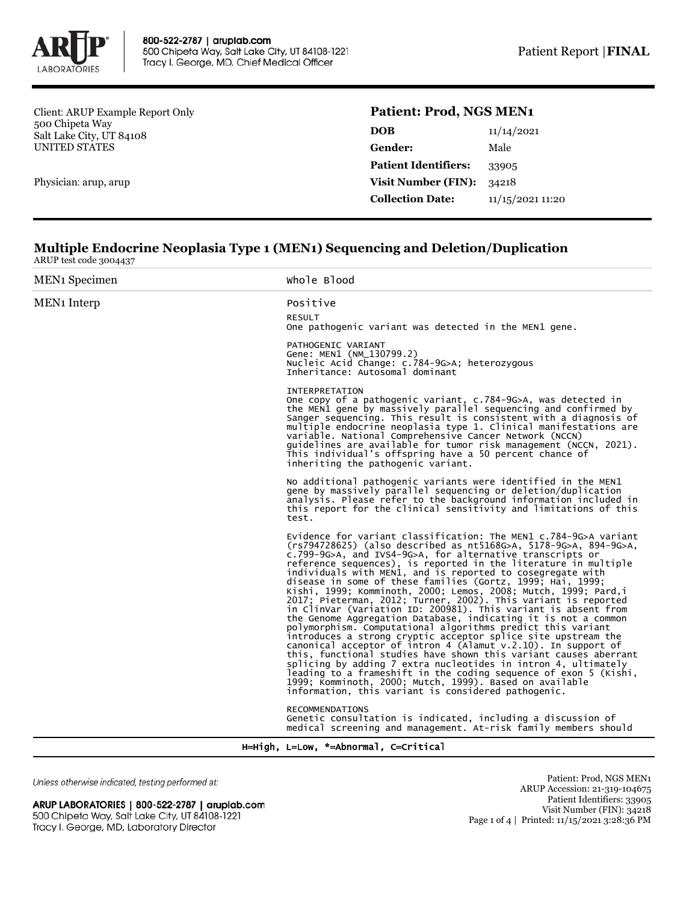

Client: ARUP Example Report Only 500 Chipeta Way Salt Lake City, UT 84108 UNITED STATES

Physician: arup, arup

## **Patient: Prod, NGS MEN1**

| <b>DOB</b>                  | 11/14/2021       |  |
|-----------------------------|------------------|--|
| <b>Gender:</b>              | Male             |  |
| <b>Patient Identifiers:</b> | 33905            |  |
| <b>Visit Number (FIN):</b>  | 34218            |  |
| <b>Collection Date:</b>     | 11/15/2021 11:20 |  |
|                             |                  |  |

## **Multiple Endocrine Neoplasia Type 1 (MEN1) Sequencing and Deletion/Duplication** ARUP test code 3004437

| <b>MEN<sub>1</sub></b> Specimen | Whole Blood                                                                                                                                                                                                                                                                                                                                                                                                                                                                                                                                                                                                                                                                                                                                                                                                                                                                                                                                                                                                                                                                                                                                                                                                         |
|---------------------------------|---------------------------------------------------------------------------------------------------------------------------------------------------------------------------------------------------------------------------------------------------------------------------------------------------------------------------------------------------------------------------------------------------------------------------------------------------------------------------------------------------------------------------------------------------------------------------------------------------------------------------------------------------------------------------------------------------------------------------------------------------------------------------------------------------------------------------------------------------------------------------------------------------------------------------------------------------------------------------------------------------------------------------------------------------------------------------------------------------------------------------------------------------------------------------------------------------------------------|
| <b>MEN<sub>1</sub></b> Interp   | Positive                                                                                                                                                                                                                                                                                                                                                                                                                                                                                                                                                                                                                                                                                                                                                                                                                                                                                                                                                                                                                                                                                                                                                                                                            |
|                                 | <b>RESULT</b><br>One pathogenic variant was detected in the MEN1 gene.                                                                                                                                                                                                                                                                                                                                                                                                                                                                                                                                                                                                                                                                                                                                                                                                                                                                                                                                                                                                                                                                                                                                              |
|                                 | PATHOGENIC VARIANT<br>Gene: MEN1 (NM_130799.2)<br>Nucleic Acid Change: c.784-9G>A; heterozygous<br>Inheritance: Autosomal dominant                                                                                                                                                                                                                                                                                                                                                                                                                                                                                                                                                                                                                                                                                                                                                                                                                                                                                                                                                                                                                                                                                  |
|                                 | <b>INTERPRETATION</b><br>One copy of a pathogenic variant, c.784-9G>A, was detected in<br>the MEN1 gene by massively parallel sequencing and confirmed by<br>Sanger sequencing. This result is consistent with a diagnosis of<br>multiple endocrine neoplasia type 1. Clinical manifestations are<br>variable. National Comprehensive Cancer Network (NCCN)<br>quidelines are available for tumor risk management (NCCN, 2021).<br>This individual's offspring have a 50 percent chance of<br>inheriting the pathogenic variant.                                                                                                                                                                                                                                                                                                                                                                                                                                                                                                                                                                                                                                                                                    |
|                                 | No additional pathogenic variants were identified in the MEN1<br>gene by massively parallel sequencing or deletion/duplication<br>analysis. Please refer to the background information included in<br>this report for the clinical sensitivity and limitations of this<br>test.                                                                                                                                                                                                                                                                                                                                                                                                                                                                                                                                                                                                                                                                                                                                                                                                                                                                                                                                     |
|                                 | Evidence for variant classification: The MEN1 c.784-9G>A variant<br>$(rs794728625)$ (also described as $nt5168G>A$ , $5178-9G>A$ , $894-9G>A$ ,<br>c.799-9G>A, and IVS4-9G>A, for alternative transcripts or<br>reference sequences), is reported in the literature in multiple<br>individuals with MEN1, and is reported to cosegregate with<br>disease in some of these families (Gortz, 1999; Hai, 1999;<br>Kishi, 1999; Komminoth, 2000; Lemos, 2008; Mutch, 1999; Pard,i<br>2017; Pieterman, 2012; Turner, 2002). This variant is reported<br>in ClinVar (Variation ID: 200981). This variant is absent from<br>the Genome Aggregation Database, indicating it is not a common<br>polymorphism. Computational algorithms predict this variant<br>introduces a strong cryptic acceptor splice site upstream the<br>canonical acceptor of intron 4 (Alamut $v.2.10$ ). In support of<br>this, functional studies have shown this variant causes aberrant<br>splicing by adding 7 extra nucleotides in intron 4, ultimately<br>leading to a frameshift in the coding sequence of exon 5 (Kishi,<br>1999; Komminoth, 2000; Mutch, 1999). Based on available<br>information, this variant is considered pathogenic. |
|                                 | <b>RECOMMENDATIONS</b><br>Genetic consultation is indicated, including a discussion of<br>medical screening and management. At-risk family members should                                                                                                                                                                                                                                                                                                                                                                                                                                                                                                                                                                                                                                                                                                                                                                                                                                                                                                                                                                                                                                                           |

H=High, L=Low, \*=Abnormal, C=Critical

Unless otherwise indicated, testing performed at:

ARUP LABORATORIES | 800-522-2787 | aruplab.com 500 Chipeta Way, Salt Lake City, UT 84108-1221 Tracy I. George, MD, Laboratory Director

Patient: Prod, NGS MEN1 ARUP Accession: 21-319-104675 Patient Identifiers: 33905 Visit Number (FIN): 34218 Page 1 of 4 | Printed: 11/15/2021 3:28:36 PM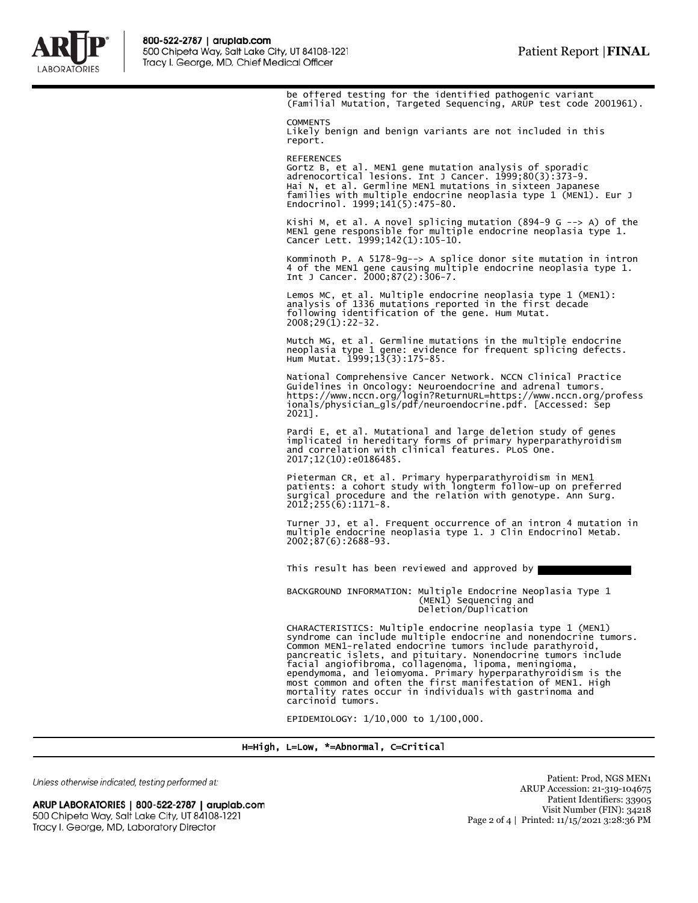

be offered testing for the identified pathogenic variant (Familial Mutation, Targeted Sequencing, ARUP test code 2001961). **COMMENTS** Likely benign and benign variants are not included in this report. REFERENCES Gortz B, et al. MEN1 gene mutation analysis of sporadic adrenocortical lesions. Int J Cancer. 1999;80(3):373-9. Hai N, et al. Germline MEN1 mutations in sixteen Japanese families with multiple endocrine neoplasia type 1 (MEN1). Eur J Endocrinol. 1999;141(5):475-80. Kishi M, et al. A novel splicing mutation (894-9 G --> A) of the MEN1 gene responsible for multiple endocrine neoplasia type 1. Cancer Lett. 1999;142(1):105-10. Komminoth P. A 5178-9g--> A splice donor site mutation in intron 4 of the MEN1 gene causing multiple endocrine neoplasia type 1. Int J Cancer. 2000;87(2):306-7. Lemos MC, et al. Multiple endocrine neoplasia type 1 (MEN1): analysis of 1336 mutations reported in the first decade following identification of the gene. Hum Mutat. 2008;29(1):22-32. Mutch MG, et al. Germline mutations in the multiple endocrine neoplasia type 1 gene: evidence for frequent splicing defects. Hum Mutat. 1999;13(3):175-85. National Comprehensive Cancer Network. NCCN Clinical Practice Guidelines in Oncology: Neuroendocrine and adrenal tumors. https://www.nccn.org/login?ReturnURL=https://www.nccn.org/profess ionals/physician\_gls/pdf/neuroendocrine.pdf. [Accessed: Sep 2021]. Pardi E, et al. Mutational and large deletion study of genes implicated in hereditary forms of primary hyperparathyroidism and correlation with clinical features. PLoS One. 2017;12(10):e0186485. Pieterman CR, et al. Primary hyperparathyroidism in MEN1 patients: a cohort study with longterm follow-up on preferred surgical procedure and the relation with genotype. Ann Surg. 2012;255(6):1171-8. Turner JJ, et al. Frequent occurrence of an intron 4 mutation in multiple endocrine neoplasia type 1. J Clin Endocrinol Metab. 2002;87(6):2688-93. This result has been reviewed and approved by BACKGROUND INFORMATION: Multiple Endocrine Neoplasia Type 1 (MEN1) Sequencing and Deletion/Duplication CHARACTERISTICS: Multiple endocrine neoplasia type 1 (MEN1) syndrome can include multiple endocrine and nonendocrine tumors. Common MEN1-related endocrine tumors include parathyroid, pancreatic islets, and pituitary. Nonendocrine tumors include

facial angiofibroma, collagenoma, lipoma, meningioma,<br>ependymoma, and leiomyoma. Primary hyperparathyroidism is the<br>most common and often the first manifestation of MEN1. High<br>mortality rates occur in individuals with gast

EPIDEMIOLOGY: 1/10,000 to 1/100,000.

## H=High, L=Low, \*=Abnormal, C=Critical

Unless otherwise indicated, testing performed at:

ARUP LABORATORIES | 800-522-2787 | aruplab.com 500 Chipeta Way, Salt Lake City, UT 84108-1221 Tracy I. George, MD, Laboratory Director

Patient: Prod, NGS MEN1 ARUP Accession: 21-319-104675 Patient Identifiers: 33905 Visit Number (FIN): 34218 Page 2 of 4 | Printed: 11/15/2021 3:28:36 PM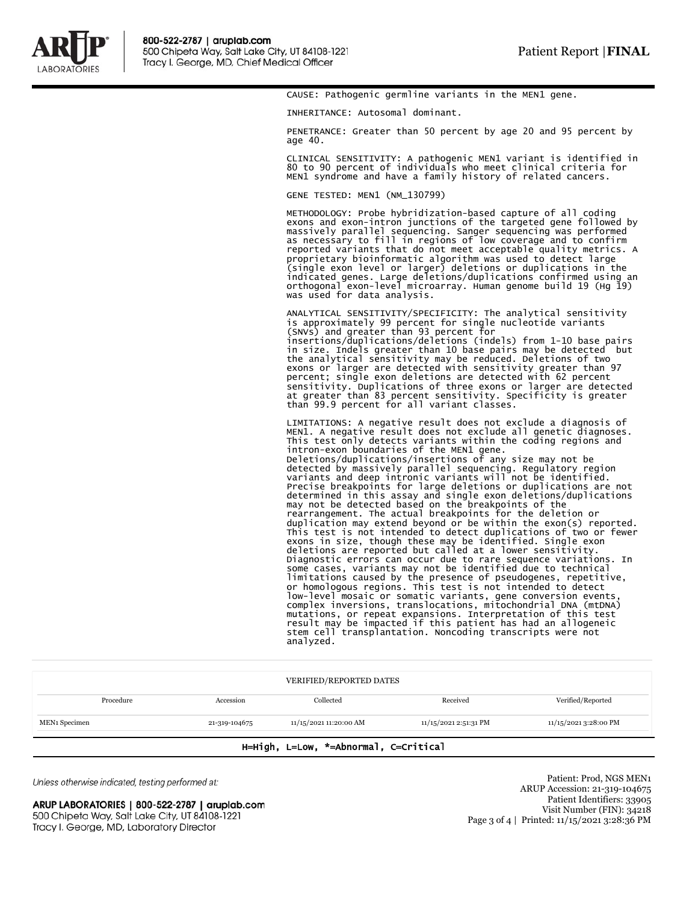

CAUSE: Pathogenic germline variants in the MEN1 gene.

INHERITANCE: Autosomal dominant.

PENETRANCE: Greater than 50 percent by age 20 and 95 percent by age 40.

CLINICAL SENSITIVITY: A pathogenic MEN1 variant is identified in 80 to 90 percent of individuals who meet clinical criteria for MEN1 syndrome and have a family history of related cancers.

GENE TESTED: MEN1 (NM\_130799)

METHODOLOGY: Probe hybridization-based capture of all coding exons and exon-intron junctions of the targeted gene followed by massively parallel sequencing. Sanger sequencing was performed as necessary to fill in regions of low coverage and to confirm<br>reported variants that do not meet acceptable quality metrics. A<br>proprietary bioinformatic algorithm was used to detect large<br>(single exon level or larger) del indicated genes. Large deletions/duplications confirmed using an orthogonal exon-level microarray. Human genome build 19 (Hg 19) was used for data analysis.

ANALYTICAL SENSITIVITY/SPECIFICITY: The analytical sensitivity<br>is approximately 99 percent for single nucleotide variants<br>(SNVs) and greater than 93 percent for<br>insertions/duplications/deletions (indels) from 1-10 base pai sensitivity. Duplications of three exons or larger are detected at greater than 83 percent sensitivity. Specificity is greater than 99.9 percent for all variant classes.

LIMITATIONS: A negative result does not exclude a diagnosis of MEN1. A negative result does not exclude all genetic diagnoses. This test only detects variants within the coding regions and intron-exon boundaries of the MEN1 gene. Deletions/duplications/insertions of any size may not be detected by massively parallel sequencing. Regulatory region variants and deep intronic variants will not be identified. Precise breakpoints for large deletions or duplications are not determined in this assay and single exon deletions/duplications may not be detected based on the breakpoints of the rearrangement. The actual breakpoints for the deletion or duplication may extend beyond or be within the exon(s) reported. This test is not intended to detect duplications of two or fewer exons in size, though these may be identified. Single exon deletions are reported but called at a lower sensitivity. Diagnostic errors can occur due to rare sequence variations. In some cases, variants may not be identified due to technical limitations caused by the presence of pseudogenes, repetitive, or homologous regions. This test is not intended to detect low-level mosaic or somatic variants, gene conversion events, complex inversions, translocations, mitochondrial DNA (mtDNA) mutations, or repeat expansions. Interpretation of this test result may be impacted if this patient has had an allogeneic stem cell transplantation. Noncoding transcripts were not analyzed.

| <b>VERIFIED/REPORTED DATES</b> |               |                        |                       |                       |  |
|--------------------------------|---------------|------------------------|-----------------------|-----------------------|--|
| Procedure                      | Accession     | Collected              | Received              | Verified/Reported     |  |
| MEN1 Specimen                  | 21-319-104675 | 11/15/2021 11:20:00 AM | 11/15/2021 2:51:31 PM | 11/15/2021 3:28:00 PM |  |

## H=High, L=Low, \*=Abnormal, C=Critical

Unless otherwise indicated, testing performed at:

ARUP LABORATORIES | 800-522-2787 | aruplab.com 500 Chipeta Way, Salt Lake City, UT 84108-1221 Tracy I. George, MD, Laboratory Director

Patient: Prod, NGS MEN1 ARUP Accession: 21-319-104675 Patient Identifiers: 33905 Visit Number (FIN): 34218 Page 3 of 4 | Printed: 11/15/2021 3:28:36 PM